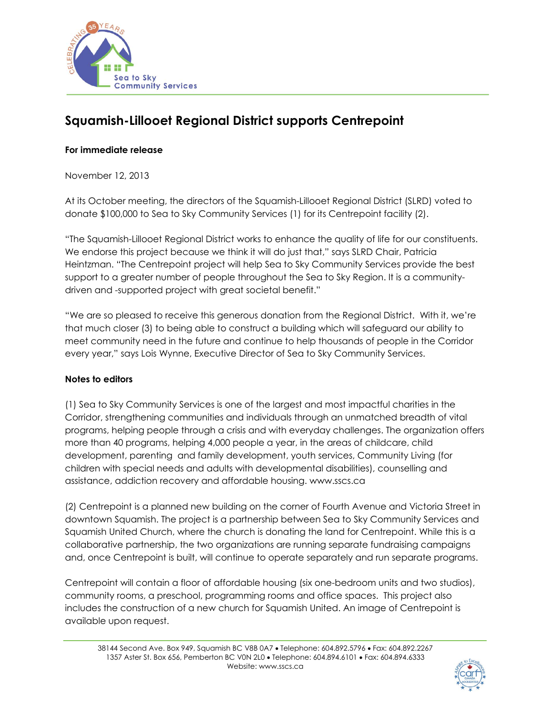

## **Squamish-Lillooet Regional District supports Centrepoint**

## **For immediate release**

November 12, 2013

At its October meeting, the directors of the Squamish-Lillooet Regional District (SLRD) voted to donate \$100,000 to Sea to Sky Community Services (1) for its Centrepoint facility (2).

"The Squamish-Lillooet Regional District works to enhance the quality of life for our constituents. We endorse this project because we think it will do just that," says SLRD Chair, Patricia Heintzman. "The Centrepoint project will help Sea to Sky Community Services provide the best support to a greater number of people throughout the Sea to Sky Region. It is a communitydriven and -supported project with great societal benefit."

"We are so pleased to receive this generous donation from the Regional District. With it, we're that much closer (3) to being able to construct a building which will safeguard our ability to meet community need in the future and continue to help thousands of people in the Corridor every year," says Lois Wynne, Executive Director of Sea to Sky Community Services.

## **Notes to editors**

(1) Sea to Sky Community Services is one of the largest and most impactful charities in the Corridor, strengthening communities and individuals through an unmatched breadth of vital programs, helping people through a crisis and with everyday challenges. The organization offers more than 40 programs, helping 4,000 people a year, in the areas of childcare, child development, parenting and family development, youth services, Community Living (for children with special needs and adults with developmental disabilities), counselling and assistance, addiction recovery and affordable housing. www.sscs.ca

(2) Centrepoint is a planned new building on the corner of Fourth Avenue and Victoria Street in downtown Squamish. The project is a partnership between Sea to Sky Community Services and Squamish United Church, where the church is donating the land for Centrepoint. While this is a collaborative partnership, the two organizations are running separate fundraising campaigns and, once Centrepoint is built, will continue to operate separately and run separate programs.

Centrepoint will contain a floor of affordable housing (six one-bedroom units and two studios), community rooms, a preschool, programming rooms and office spaces. This project also includes the construction of a new church for Squamish United. An image of Centrepoint is available upon request.